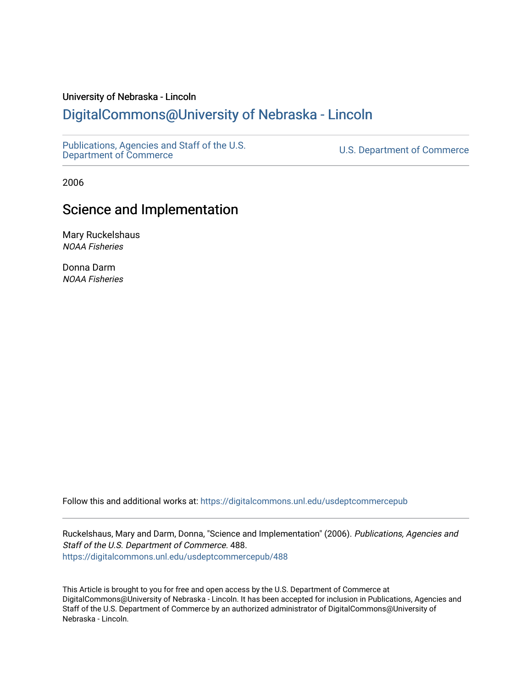#### University of Nebraska - Lincoln

## [DigitalCommons@University of Nebraska - Lincoln](https://digitalcommons.unl.edu/)

[Publications, Agencies and Staff of the U.S.](https://digitalcommons.unl.edu/usdeptcommercepub)

U.S. [Department of Commerce](https://digitalcommons.unl.edu/usdeptcommercepub)

2006

## Science and Implementation

Mary Ruckelshaus NOAA Fisheries

Donna Darm NOAA Fisheries

Follow this and additional works at: [https://digitalcommons.unl.edu/usdeptcommercepub](https://digitalcommons.unl.edu/usdeptcommercepub?utm_source=digitalcommons.unl.edu%2Fusdeptcommercepub%2F488&utm_medium=PDF&utm_campaign=PDFCoverPages)

Ruckelshaus, Mary and Darm, Donna, "Science and Implementation" (2006). Publications, Agencies and Staff of the U.S. Department of Commerce. 488. [https://digitalcommons.unl.edu/usdeptcommercepub/488](https://digitalcommons.unl.edu/usdeptcommercepub/488?utm_source=digitalcommons.unl.edu%2Fusdeptcommercepub%2F488&utm_medium=PDF&utm_campaign=PDFCoverPages) 

This Article is brought to you for free and open access by the U.S. Department of Commerce at DigitalCommons@University of Nebraska - Lincoln. It has been accepted for inclusion in Publications, Agencies and Staff of the U.S. Department of Commerce by an authorized administrator of DigitalCommons@University of Nebraska - Lincoln.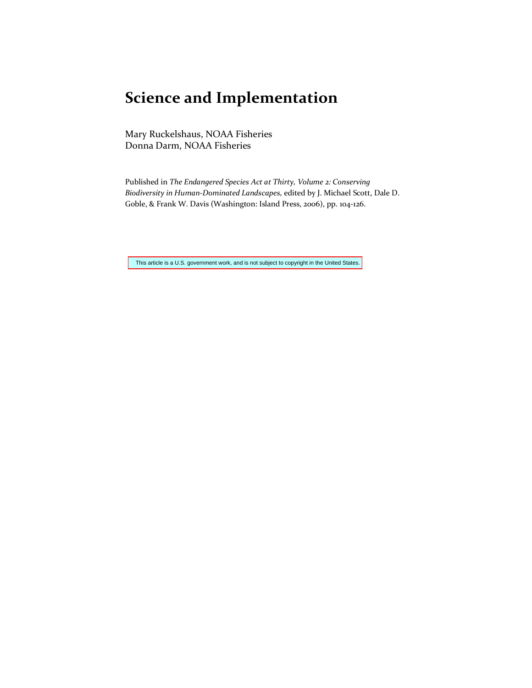# **Science and Implementation**

Mary Ruckelshaus, NOAA Fisheries Donna Darm, NOAA Fisheries

Published in *The Endangered Species Act at Thirty, Volume 2: Conserving Biodiversity in Human-Dominated Landscapes,* edited by J. Michael Scott, Dale D. Goble, & Frank W. Davis (Washington: Island Press, 2006), pp. 104-126.

This article is a U.S. government work, and is not subject to copyright in the United States.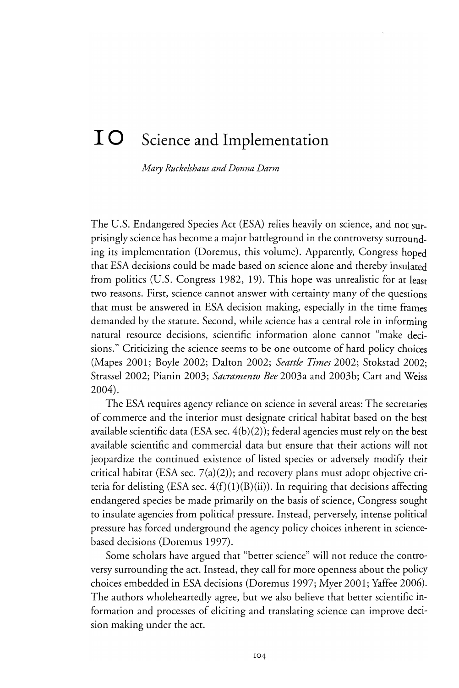# **10 Science and Implementation**

*Mary Ruckelshaus and Donna Darm* 

The U.S. Endangered Species Act (ESA) relies heavily on science, and not surprisingly science has become a major battleground in the controversy surrounding its implementation (Doremus, this volume). Apparently, Congress hoped that ESA decisions could be made based on science alone and thereby insulated from politics (U.S. Congress 1982, 19). This hope was unrealistic for at least two reasons. First, science cannot answer with certainty many of the questions that must be answered in ESA decision making, especially in the time frames demanded by the statute. Second, while science has a central role in informing natural resource decisions, scientific information alone cannot "make decisions." Criticizing the science seems to be one outcome of hard policy choices (Mapes 2001; Boyle 2002; Dalton 2002; *Seattle Times* 2002; Stokstad 2002; Strassel 2002; Pianin 2003; *Sacramento Bee* 2003a and 2003b; Cart and Weiss 2004).

The ESA requires agency reliance on science in several areas: The secretaries of commerce and the interior must designate critical habitat based on the best available scientific data (ESA sec.  $4(b)(2)$ ); federal agencies must rely on the best available scientific and commercial data but ensure that their actions will not jeopardize the continued existence of listed species or adversely modify their critical habitat (ESA sec.  $7(a)(2)$ ); and recovery plans must adopt objective criteria for delisting (ESA sec.  $4(f)(1)(B)(ii)$ ). In requiring that decisions affecting endangered species be made primarily on the basis of science, Congress sought to insulate agencies from political pressure. Instead, perversely, intense political pressure has forced underground the agency policy choices inherent in sciencebased decisions (Doremus 1997).

Some scholars have argued that "better science" will not reduce the controversy surrounding the act. Instead, they call for more openness about the policy choices embedded in ESA decisions (Doremus 1997; Myer 2001; Yaffee 2006). The authors wholeheartedly agree, but we also believe that better scientific information and processes of eliciting and translating science can improve decision making under the act.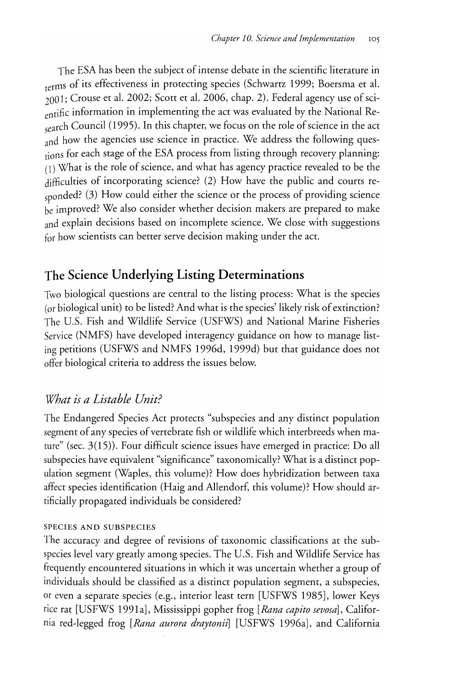The ESA has been the subject of intense debate in the scientific literature in <sub>terms</sub> of its effectiveness in protecting species (Schwartz 1999; Boersma et al.  $2001$ ; Crouse et al. 2002; Scott et al. 2006, chap. 2). Federal agency use of scientific information in implementing the act was evaluated by the National Research Council (1995). In this chapter, we focus on the role of science in the act and how the agencies use science in practice. We address the following questions for each stage of the ESA process from listing through recovery planning: (1) What is the role of science, and what has agency practice revealed to be the difficulties of incorporating science? (2) How have the public and courts responded? (3) How could either the science or the process of providing science  $_{\text{be}}$  improved? We also consider whether decision makers are prepared to make and explain decisions based on incomplete science. We close with suggestions for how scientists can better serve decision making under the act.

## **The Science Underlying Listing Determinations**

Two biological questions are central to the listing process: What is the species (or biological unit) to be listed? And what is the species' likely risk of extinction? The U.S. Fish and Wildlife Service (USFWS) and National Marine Fisheries Service (NMFS) have developed interagency guidance on how to manage listing petitions (USFWS and NMFS 1996d, 1999d) but that guidance does not offer biological criteria to address the issues below.

## *What is a Listable Unit?*

The Endangered Species Act protects "subspecies and any distinct population segment of any species of vertebrate fish or wildlife which interbreeds when mature" (sec. 3(15)). Four difficult science issues have emerged in practice: Do all subspecies have equivalent "significance" taxonomically? What is a distinct population segment (Waples, this volume)? How does hybridization between taxa affect species identification (Haig and Allendorf, this volume)? How should artificially propagated individuals be considered?

#### SPECIES AND SUBSPECIES

The accuracy and degree of revisions of taxonomic classifications at the subspecies level vary greatly among species. The U.S. Fish and Wildlife Service has frequently encountered situations in which it was uncertain whether a group of individuals should be classified as a distinct population segment, a subspecies, or even a separate species (e.g., interior least tern [USFWS 1985], lower Keys rice rat [USFWS 1991a], Mississippi gopher frog *[Rana capito sevosa]*, California red-legged frog *[Rana aurora dray to nit]* [USFWS 1996a], and California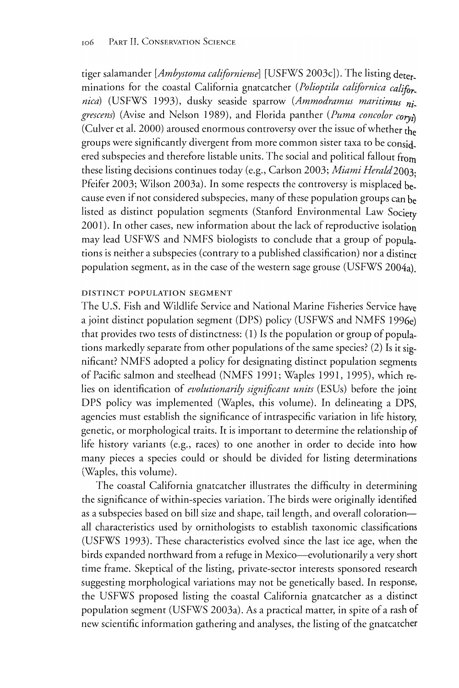tiger salamander *[Ambystoma californiensel* [USFWS 2003c]). The listing deter\_ minations for the coastal California gnatcatcher *(Polioptila californica califor\_ nica)* (USFWS 1993), dusky seaside sparrow *(Ammodramus maritimus nigrescens)* (Avise and Nelson 1989), and Florida panther *(Puma concolor coryz)*  (Culver et al. 2000) aroused enormous controversy over the issue of whether the groups were significantly divergent from more common sister taxa to be consid\_ ered subspecies and therefore listable units. The social and political fallout from these listing decisions continues today (e.g., Carlson 2003; *Miami Herald* 2003. Pfeifer 2003; Wilson 2003a). In some respects the controversy is misplaced because even if not considered subspecies, many of these population groups can be listed as distinct population segments (Stanford Environmental Law Society 2001). In other cases, new information about the lack of reproductive isolation may lead USFWS and NMFS biologists to conclude that a group of populations is neither a subspecies (contrary to a published classification) nor a distinct population segment, as in the case of the western sage grouse (USFWS 2004a).

#### DISTINCT POPULATION SEGMENT

The U.S. Fish and Wildlife Service and National Marine Fisheries Service have a joint distinct population segment (DPS) policy (USFWS and NMFS 1996e) that provides two tests of distinctness: (1) Is the population or group of populations markedly separate from other populations of the same species? (2) Is it significant? NMFS adopted a policy for designating distinct population segments of Pacific salmon and steelhead (NMFS 1991; Waples 1991, 1995), which relies on identification of *evolutionarily significant units* (ESUs) before the joint DPS policy was implemented (Waples, this volume). In delineating a DPS, agencies must establish the significance of intraspecific variation in life history, genetic, or morphological traits. It is important to determine the relationship of life history variants (e.g., races) to one another in order to decide into how many pieces a species could or should be divided for listing determinations (Waples, this volume).

The coastal California gnatcatcher illustrates the difficulty in determining the significance of within-species variation. The birds were originally identified as a subspecies based on bill size and shape, tail length, and overall colorationall characteristics used by ornithologists to establish taxonomic classifications (USFWS 1993). These characteristics evolved since the last ice age, when the birds expanded northward from a refuge in Mexico-evolutionarily a very short time frame. Skeptical of the listing, private-sector interests sponsored research suggesting morphological variations may not be genetically based. In response, the USFWS proposed listing the coastal California gnatcatcher as a distinct population segment (USFWS 2003a). As a practical matter, in spite of a rash of new scientific information gathering and analyses, the listing of the gnatcatcher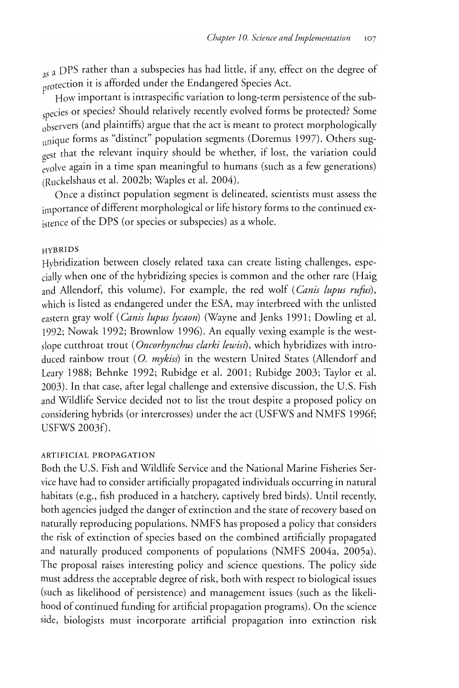as a DPS rather than a subspecies has had little, if any, effect on the degree of protection it is afforded under the Endangered Species Act.

How important is intraspecific variation to long-term persistence of the subspecies or species? Should relatively recently evolved forms be protected? Some observers (and plaintiffs) argue that the act is meant to protect morphologically unique forms as "distinct" population segments (Doremus 1997). Others suggest that the relevant inquiry should be whether, if lost, the variation could  $\omega_{\text{evolve}}$  again in a time span meaningful to humans (such as a few generations) (Ruckelshaus et al. 2002b; Waples et al. 2004).

Once a distinct population segment is delineated, scientists must assess the importance of different morphological or life history forms to the continued existence of the DPS (or species or subspecies) as a whole.

#### HYBRIDS

Hybridization between closely related taxa can create listing challenges, especially when one of the hybridizing species is common and the other rare (Haig and Allendorf, this volume). For example, the red wolf *(Canis lupus rufus),*  which is listed as endangered under the ESA, may interbreed with the unlisted eastern gray wolf (*Canis lupus lycaon*) (Wayne and Jenks 1991; Dowling et al. 1992; Nowak 1992; Brownlow 1996). An equally vexing example is the westslope cutthroat trout *(Oncorhynchus clarki lewisz),* which hybridizes with introduced rainbow trout (0. *mykiss)* in the western United States (Allendorf and Leary 1988; Behnke 1992; Rubidge et al. 2001; Rubidge 2003; Taylor et al. 2003). In that case, after legal challenge and extensive discussion, the U.S. Fish and Wildlife Service decided not to list the trout despite a proposed policy on considering hybrids (or intercrosses) under the act (USFWS and NMFS 1996f; USFWS 2003f).

#### ARTIFICIAL PROPAGATION

Both the U.S. Fish and Wildlife Service and the National Marine Fisheries Service have had to consider artificially propagated individuals occurring in natural habitats (e.g., fish produced in a hatchery, captively bred birds). Until recently, both agencies judged the danger of extinction and the state of recovery based on naturally reproducing populations. NMFS has proposed a policy that considers the risk of extinction of species based on the combined artificially propagated and naturally produced components of populations (NMFS 2004a, 2005a). The proposal raises interesting policy and science questions. The policy side must address the acceptable degree of risk, both with respect to biological issues (such as likelihood of persistence) and management issues (such as the likelihood of continued funding for artificial propagation programs). On the science side, biologists must incorporate artificial propagation into extinction risk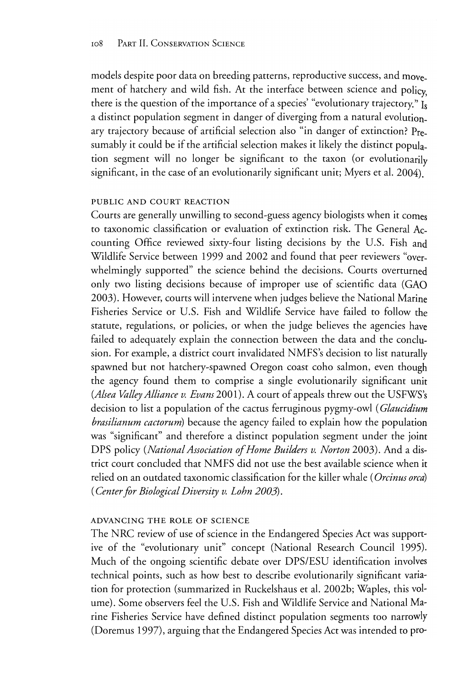models despite poor data on breeding patterns, reproductive success, and move ment of hatchery and wild fish. At the interface between science and policy there is the question of the importance of a species' "evolutionary trajectory."  $\int_S$ a distinct population segment in danger of diverging from a natural evolution\_ ary trajectory because of artificial selection also "in danger of extinction? Presumably it could be if the artificial selection makes it likely the distinct population segment will no longer be significant to the taxon (or evolutionarily significant, in the case of an evolutionarily significant unit; Myers et al. 2004).

#### PUBLIC AND COURT REACTION

Courts are generally unwilling to second-guess agency biologists when it comes to taxonomic classification or evaluation of extinction risk. The General Accounting Office reviewed sixty-four listing decisions by the U.S. Fish and Wildlife Service berween 1999 and 2002 and found that peer reviewers "overwhelmingly supported" the science behind the decisions. Courts overturned only rwo listing decisions because of improper use of scientific data (GAO 2003). However, courts will intervene when judges believe the National Marine Fisheries Service or U.S. Fish and Wildlife Service have failed to follow the statute, regulations, or policies, or when the judge believes the agencies have failed to adequately explain the connection berween the data and the conclusion. For example, a district court invalidated NMFS's decision to list naturally spawned but not hatchery-spawned Oregon coast coho salmon, even though the agency found them to comprise a single evolutionarily significant unit *(Alsea Valley Alliance v. Evans* 2001). A court of appeals threw out the USFWS's decision to list a population of the cactus ferruginous pygmy-owl *(Glaucidium brasilianum cactorum)* because the agency failed to explain how the population was "significant" and therefore a distinct population segment under the joint DPS policy *(National Association of Home Builders v. Norton* 2003). And a district court concluded that NMFS did not use the best available science when it relied on an outdated taxonomic classification for the killer whale ( *Orcinus orca)*  ( *Center for Biological Diversity v. Lohn 2003).* 

#### ADVANCING THE ROLE OF SCIENCE

The NRC review of use of science in the Endangered Species Act was supportive of the "evolutionary unit" concept (National Research Council 1995). Much of the ongoing scientific debate over *DPS/ESU* identification involves technical points, such as how best to describe evolutionarily significant variation for protection (summarized in Ruckelshaus et al. 2002b; Waples, this volume). Some observers feel the U.S. Fish and Wildlife Service and National Marine Fisheries Service have defined distinct population segments too narrowly (Doremus 1997), arguing that the Endangered Species Act was intended to pro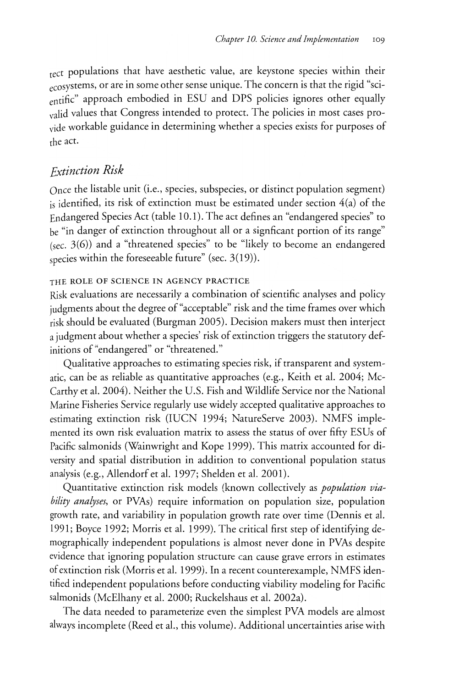tect populations that have aesthetic value, are keystone species within their ecosystems, or are in some other sense unique. The concern is that the rigid "scientific" approach embodied in ESU and DPS policies ignores other equally valid values that Congress intended to protect. The policies in most cases provide workable guidance in determining whether a species exists for purposes of the act.

#### *Extinction Risk*

Once the listable unit (i.e., species, subspecies, or distinct population segment) is identified, its risk of extinction must be estimated under section 4(a) of the Endangered Species Act (table 10.1). The act defines an "endangered species" to be "in danger of extinction throughout all or a signficant portion of its range" (sec.  $3(6)$ ) and a "threatened species" to be "likely to become an endangered species within the foreseeable future" (sec.  $3(19)$ ).

#### THE ROLE OF SCIENCE IN AGENCY PRACTICE

Risk evaluations are necessarily a combination of scientific analyses and policy judgments about the degree of "acceptable" risk and the time frames over which risk should be evaluated (Burgman 2005). Decision makers must then interject a judgment about whether a species' risk of extinction triggers the statutory definitions of "endangered" or "threatened."

Qualitative approaches to estimating species risk, if transparent and systematic, can be as reliable as quantitative approaches (e.g., Keith et ai. 2004; Mc-Carthy et al. 2004). Neither the U.S. Fish and Wildlife Service nor the National Marine Fisheries Service regularly use widely accepted qualitative approaches to estimating extinction risk (IUCN 1994; NatureServe 2003). NMFS implemented its own risk evaluation matrix to assess the status of over fifty ESUs of Pacific salmonids (Wainwright and Kope 1999). This matrix accounted for diversity and spatial distribution in addition to conventional population status analysis (e.g., Allendorf et ai. 1997; Shelden et ai. 2001).

Quantitative extinction risk models (known collectively as *population viability analyses,* or PYAs) require information on population size, population growth rate, and variability in population growth rate over time (Dennis et ai. 1991; Boyce 1992; Morris et ai. 1999). The critical first step of identifying demographically independent populations is almost never done in PYAs despite evidence that ignoring population structure can cause grave errors in estimates of extinction risk (Morris et ai. 1999). **In** a recent counterexample, NMFS identified independent populations before conducting viability modeling for Pacific salmonids (McElhany et ai. 2000; Ruckelshaus et ai. 2002a).

The data needed to parameterize even the simplest PYA models are almost always incomplete (Reed et aI., this volume). Additional uncertainties arise with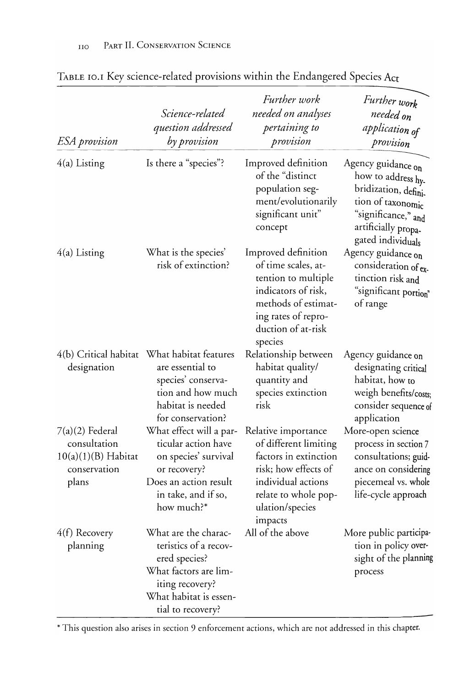| ESA provision                                                                       | Science-related<br>question addressed<br>by provision                                                                                                     | Further work<br>needed on analyses<br>pertaining to<br>provision                                                                                                          | Further work<br>needed on<br>application of<br>provision                                                                                                 |
|-------------------------------------------------------------------------------------|-----------------------------------------------------------------------------------------------------------------------------------------------------------|---------------------------------------------------------------------------------------------------------------------------------------------------------------------------|----------------------------------------------------------------------------------------------------------------------------------------------------------|
| $4(a)$ Listing                                                                      | Is there a "species"?                                                                                                                                     | Improved definition<br>of the "distinct<br>population seg-<br>ment/evolutionarily<br>significant unit"<br>concept                                                         | Agency guidance on<br>how to address hy-<br>bridization, defini-<br>tion of taxonomic<br>"significance," and<br>artificially propa-<br>gated individuals |
| 4(a) Listing                                                                        | What is the species'<br>risk of extinction?                                                                                                               | Improved definition<br>of time scales, at-<br>tention to multiple<br>indicators of risk,<br>methods of estimat-<br>ing rates of repro-<br>duction of at-risk<br>species   | Agency guidance on<br>consideration of ex-<br>tinction risk and<br>"significant portion"<br>of range                                                     |
| 4(b) Critical habitat<br>designation                                                | What habitat features<br>are essential to<br>species' conserva-<br>tion and how much<br>habitat is needed<br>for conservation?                            | Relationship between<br>habitat quality/<br>quantity and<br>species extinction<br>risk                                                                                    | Agency guidance on<br>designating critical<br>habitat, how to<br>weigh benefits/costs;<br>consider sequence of<br>application                            |
| $7(a)(2)$ Federal<br>consultation<br>$10(a)(1)(B)$ Habitat<br>conservation<br>plans | What effect will a par-<br>ticular action have<br>on species' survival<br>or recovery?<br>Does an action result<br>in take, and if so,<br>how much?*      | Relative importance<br>of different limiting<br>factors in extinction<br>risk; how effects of<br>individual actions<br>relate to whole pop-<br>ulation/species<br>impacts | More-open science<br>process in section 7<br>consultations; guid-<br>ance on considering<br>piecemeal vs. whole<br>life-cycle approach                   |
| 4(f) Recovery<br>planning                                                           | What are the charac-<br>teristics of a recov-<br>ered species?<br>What factors are lim-<br>iting recovery?<br>What habitat is essen-<br>tial to recovery? | All of the above                                                                                                                                                          | More public participa-<br>tion in policy over-<br>sight of the planning<br>process                                                                       |

## TABLE IO.I Key science-related provisions within the Endangered Species Act

\* This question also arises in section 9 enforcement actions, which are not addressed in this chapter.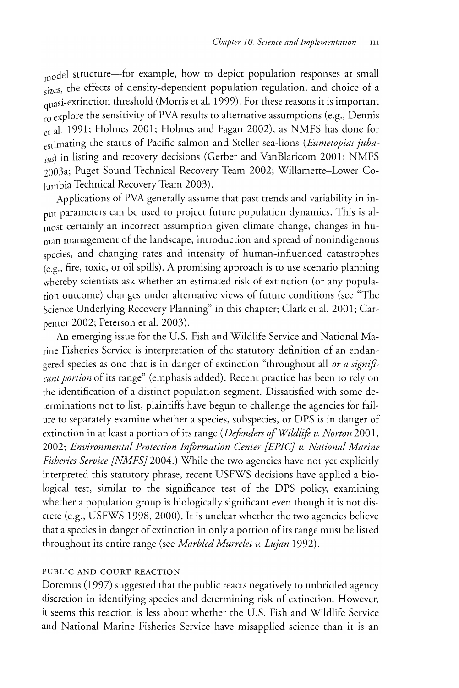<sub>model</sub> structure-for example, how to depict population responses at small  $s_{\text{stress}}$ , the effects of density-dependent population regulation, and choice of a  $q$ <sub>quasi-extinction threshold</sub> (Morris et al. 1999). For these reasons it is important  $\frac{1}{10}$  explore the sensitivity of PVA results to alternative assumptions (e.g., Dennis et al. 1991; Holmes 2001; Holmes and Fagan 2002), as NMFS has done for estimating the status of Pacific salmon and Steller sea-lions *(Eumetopias juba-* $_{\text{tU}}$ ) in listing and recovery decisions (Gerber and VanBlaricom 2001; NMFS 2003a; Puget Sound Technical Recovery Team 2002; Willamette-Lower Columbia Technical Recovery Team 2003).

Applications of PVA generally assume that past trends and variability in input parameters can be used to project future population dynamics. This is almost certainly an incorrect assumption given climate change, changes in human management of the landscape, introduction and spread of nonindigenous species, and changing rates and intensity of human-influenced catastrophes (e.g., fire, toxic, or oil spills). A promising approach is to use scenario planning whereby scientists ask whether an estimated risk of extinction (or any population outcome) changes under alternative views of future conditions (see "The Science Underlying Recovery Planning" in this chapter; Clark et al. 2001; Carpenter 2002; Peterson et al. 2003).

An emerging issue for the U.S. Fish and Wildlife Service and National Marine Fisheries Service is interpretation of the statutory definition of an endangered species as one that is in danger of extinction "throughout all *or a significant portion* of its range" (emphasis added). Recent practice has been to rely on the identification of a distinct population segment. Dissatisfied with some determinations not to list, plaintiffs have begun ro challenge the agencies for failure to separately examine whether a species, subspecies, or DPS is in danger of extinction in at least a portion of its range (Defenders of Wildlife v. Norton 2001, *2002; Environmental Protection Information Center [EPIC) v. National Marine Fisheries Service [NMFS}* 2004.) While the two agencies have not yet explicitly interpreted this statutory phrase, recent USFWS decisions have applied a biological test, similar to the significance test of the DPS policy, examining whether a population group is biologically significant even though it is not discrete (e.g., USFWS 1998,2000). It is unclear whether the two agencies believe that a species in danger of extinction in only a portion of its range must be listed throughout its entire range (see *Marbled Murrelet v. Lujan* 1992).

#### PUBLIC AND COURT REACTION

Doremus (1997) suggested that the public reacts negatively to unbridled agency discretion in identifying species and determining risk of extinction. However, it seems this reaction is less about whether the U.S. Fish and Wildlife Service and National Marine Fisheries Service have misapplied science than it is an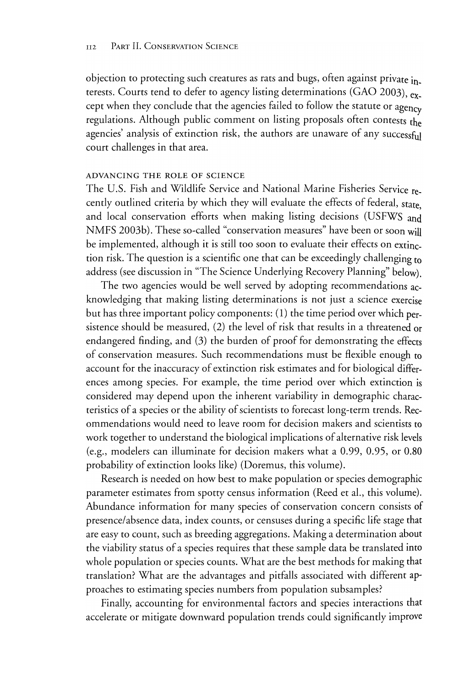objection to protecting such creatures as rats and bugs, often against private interests. Courts tend to defer to agency listing determinations (GAO 2003), except when they conclude that the agencies failed to follow the statute or agency regulations. Although public comment on listing proposals often contests the agencies' analysis of extinction risk, the authors are unaware of any successful court challenges in that area.

#### ADVANCING THE ROLE OF SCIENCE

The U.S. Fish and Wildlife Service and National Marine Fisheries Service recently outlined criteria by which they will evaluate the effects of federal, state, and local conservation efforts when making listing decisions (USFWS and NMFS 2003b). These so-called "conservation measures" have been or soon will be implemented, although it is still too soon to evaluate their effects on extinction risk. The question is a scientific one that can be exceedingly challenging to address (see discussion in "The Science Underlying Recovery Planning" below).

The two agencies would be well served by adopting recommendations acknowledging that making listing determinations is not just a science exercise but has three important policy components: (1) the time period over which persistence should be measured, (2) the level of risk that results in a threatened or endangered finding, and (3) the burden of proof for demonstrating the effects of conservation measures. Such recommendations must be flexible enough to account for the inaccuracy of extinction risk estimates and for biological differences among species. For example, the time period over which extinction is considered may depend upon the inherent variability in demographic characteristics of a species or the ability of scientists to forecast long-term trends. Recommendations would need to leave room for decision makers and scientists to work together to understand the biological implications of alternative risk levels (e.g., modelers can illuminate for decision makers what a 0.99, 0.95, or 0.80 probability of extinction looks like) (Doremus, this volume).

Research is needed on how best to make population or species demographic parameter estimates from spotty census information (Reed et aI., this volume). Abundance information for many species of conservation concern consists of presence/absence data, index counts, or censuses during a specific life stage that are easy to count, such as breeding aggregations. Making a determination about the viability status of a species requires that these sample data be translated into whole population or species counts. What are the best methods for making that translation? What are the advantages and pitfalls associated with different approaches to estimating species numbers from population subsamples?

Finally, accounting for environmental factors and species interactions that accelerate or mitigate downward population trends could significantly improve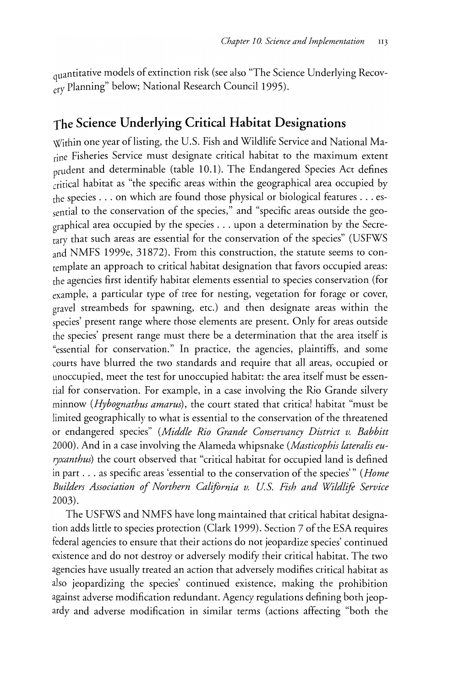quantitative models of extinction risk (see also "The Science Underlying Recovery Planning" below; National Research Council 1995).

## *The* **Science Underlying Critical Habitat Designations**

Within one year of listing, the U.S. Fish and Wildlife Service and National Marine Fisheries Service must designate critical habitat to the maximum extent prudent and determinable (table 10.1). The Endangered Species Act defines critical habitat as "the specific areas within the geographical area occupied by the species ... on which are found those physical or biological features ... essential to the conservation of the species," and "specific areas outside the geographical area occupied by the species ... upon a determination by the Secretary that such areas are essential for the conservation of the species" (USFWS and NMFS 1999e, 31872). From this construction, the statute seems to contemplate an approach to critical habitat designation that favors occupied areas: the agencies first identify habitat elements essential to species conservation (for example, a particular type of tree for nesting, vegetation for forage or cover, gravel streambeds for spawning, etc.) and then designate areas within the species' present range where those elements are present. Only for areas outside the species' present range must there be a determination that the area itself is "essential for conservation." In practice, the agencies, plaintiffs, and some courts have blurred the two standards and require that all areas, occupied or unoccupied, meet the test for unoccupied habitat: the area itself must be essential for conservation. For example, in a case involving the Rio Grande silvery minnow *(Hybognathus amarus),* the court stated that critical habitat "must be limited geographically to what is essential to the conservation of the threatened or endangered species" *(Middle Rio Grande Conservancy District v. Babbitt*  2000). And in a case involving the Alameda whipsnake *(Masticophis lateralis euryxanthus)* the court observed that "critical habitat for occupied land is defined in part ... as specific areas 'essential to the conservation of the species'" *(Home Builders Association of Northern California v. US. Fish and Wildlifi Service*  2003).

The USFWS and NMFS have long maintained that critical habitat designation adds little to species protection (Clark 1999). Section 7 of the ESA requires federal agencies to ensure that their actions do not jeopardize species' continued existence and do not destroy or adversely modify their critical habitat. The two agencies have usually treated an action that adversely modifies critical habitat as also jeopardizing the species' continued existence, making the prohibition against adverse modification redundant. Agency regulations defining both jeopardy and adverse modification in similar terms (actions affecting "both the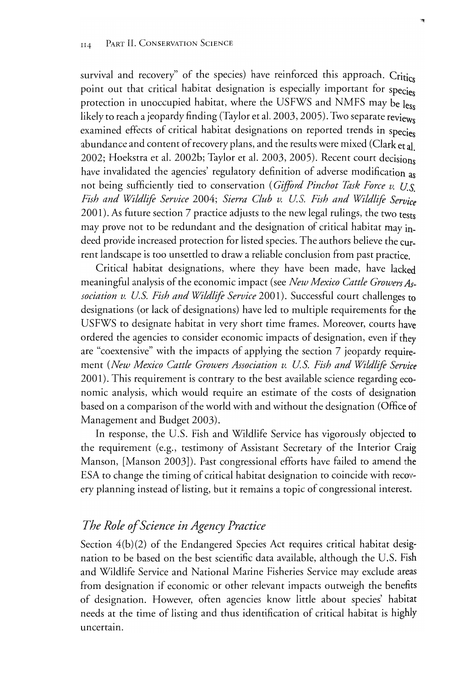survival and recovery" of the species) have reinforced this approach. Critics point out that critical habitat designation is especially important for species protection in unoccupied habitat, where the USFWS and NMFS may be less likely to reach a jeopardy finding (Taylor et al. 2003, 2005). Two separate reviews examined effects of critical habitat designations on reported trends in species abundance and content of recovery plans, and the results were mixed (Clark et al. 2002; Hoekstra et al. 2002b; Taylor et al. 2003, 2005). Recent court decisions have invalidated the agencies' regulatory definition of adverse modification as not being sufficiently tied to conservation *(Gifford Pinchot Task Force v. U.S. Fish and Wildlifi Service* 2004; *Sierra Club v. us. Fish and Wildlifi Service*  2001). As future section 7 practice adjusts to the new legal rulings, the two tests may prove not to be redundant and the designation of critical habitat may indeed provide increased protection for listed species. The authors believe the current landscape is too unsettled to draw a reliable conclusion from past practice.

Critical habitat designations, where they have been made, have lacked meaningful analysis of the economic impact (see *New Mexico Cattle Growers Association v. US. Fish and Wildlifi Service* 2001). Successful court challenges to designations (or lack of designations) have led to multiple requirements for the USFWS to designate habitat in very short time frames. Moreover, courts have ordered the agencies to consider economic impacts of designation, even if they are "coextensive" with the impacts of applying the section 7 jeopardy requirement *(New Mexico Cattle Growers Association v. US. Fish and Wildlifi Service*  2001). This requirement is contrary to the best available science regarding economic analysis, which would require an estimate of the costs of designation based on a comparison of the world with and without the designation (Office of Management and Budget 2003).

In response, the U.S. Fish and Wildlife Service has vigorously objected to the requirement (e.g., testimony of Assistant Secretary of the Interior Craig Manson, [Manson 2003]). Past congressional efforts have failed to amend the ESA to change the timing of critical habitat designation to coincide with recovery planning instead of listing, but it remains a topic of congressional interest.

#### *The Role of Science in Agency Practice*

Section 4(b)(2) of the Endangered Species Act requires critical habitat designation to be based on the best scientific data available, although the U.S. Fish and Wildlife Service and National Marine Fisheries Service may exclude areas from designation if economic or other relevant impacts outweigh the benefits of designation. However, often agencies know little about species' habitat needs at the time of listing and thus identification of critical habitat is highly uncertain.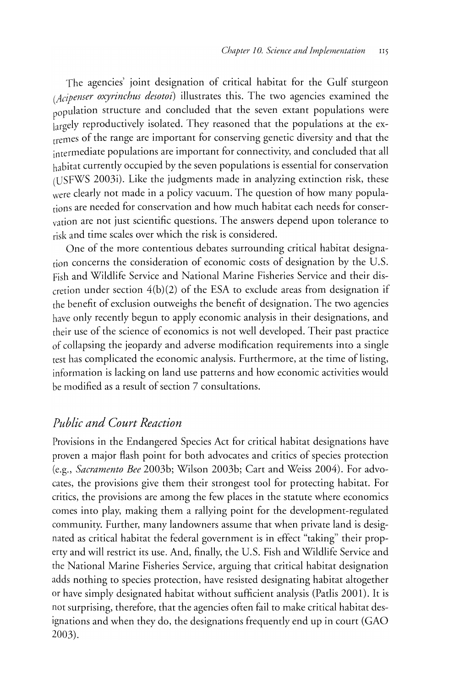The agencies' joint designation of critical habitat for the Gulf sturgeon *(Actpenser oxyrinchus desotoi)* illustrates this. The two agencies examined the population structure and concluded that the seven extant populations were largely reproductively isolated. They reasoned that the populations at the extremes of the range are important for conserving genetic diversity and that the intermediate populations are important for connectivity, and concluded that all habitat currently occupied by the seven populations is essential for conservation (USFWS 2003i). Like the judgments made in analyzing extinction risk, these were clearly not made in a policy vacuum. The question of how many populations are needed for conservation and how much habitat each needs for conservation are not just scientific questions. The answers depend upon tolerance to risk and time scales over which the risk is considered.

One of the more contentious debates surrounding critical habitat designation concerns the consideration of economic costs of designation by the U.S. Fish and Wildlife Service and National Marine Fisheries Service and their discretion under section  $4(b)(2)$  of the ESA to exclude areas from designation if the benefit of exclusion outweighs the benefit of designation. The two agencies have only recently begun to apply economic analysis in their designations, and their use of the science of economics is not well developed. Their past practice of collapsing the jeopardy and adverse modification requirements into a single test has complicated the economic analysis. Furthermore, at the time of listing, information is lacking on land use patterns and how economic activities would be modified as a result of section 7 consultations.

#### *Public and Court Reaction*

Provisions in the Endangered Species Act for critical habitat designations have proven a major flash point for both advocates and critics of species protection (e.g., *Sacramento Bee* 2003b; Wilson 2003b; Cart and Weiss 2004). For advocates, the provisions give them their strongest tool for protecting habitat. For critics, the provisions are among the few places in the statute where economics comes into play, making them a rallying point for the development-regulated community. Further, many landowners assume that when private land is designated as critical habitat the federal government is in effect "taking" their property and will restrict its use. And, finally, the U.S. Fish and Wildlife Service and the National Marine Fisheries Service, arguing that critical habitat designation adds nothing to species protection, have resisted designating habitat altogether or have simply designated habitat without sufficient analysis (Patlis 2001). It is not surprising, therefore, that the agencies often fail to make critical habitat designations and when they do, the designations frequently end up in court (GAO 2003).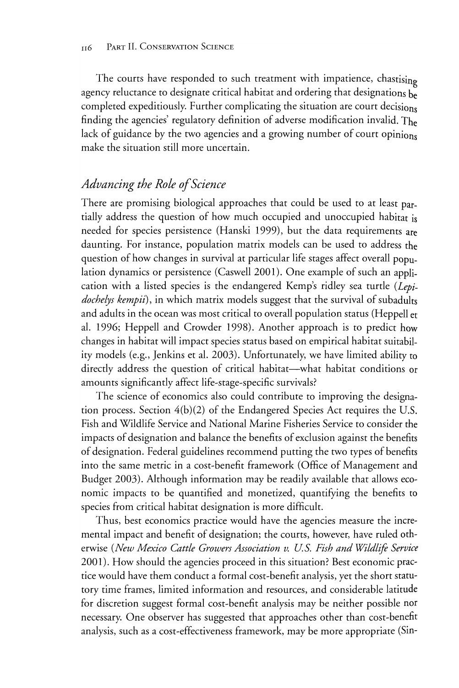The courts have responded to such treatment with impatience, chastising agency reluctance to designate critical habitat and ordering that designations  $b_e$ completed expeditiously. Further complicating the situation are court decisions finding the agencies' regulatory definition of adverse modification invalid. The lack of guidance by the two agencies and a growing number of court opinions make the situation still more uncertain.

#### *Advancing the Role o/Science*

There are promising biological approaches that could be used to at least partially address the question of how much occupied and unoccupied habitat is needed for species persistence (Hanski 1999), but the data requirements are daunting. For instance, population matrix models can be used to address the question of how changes in survival at particular life stages affect overall population dynamics or persistence (Caswell 2001). One example of such an application with a listed species is the endangered Kemp's ridley sea turtle *(Lepidochelys kempii*), in which matrix models suggest that the survival of subadults and adults in the ocean was most critical to overall population status (Heppell et al. 1996; Heppell and Crowder 1998). Another approach is to predict how changes in habitat will impact species status based on empirical habitat suitability models (e.g., Jenkins et al. 2003). Unfortunately, we have limited ability to directly address the question of critical habitat-what habitat conditions or amounts significantly affect life-stage-specific survivals?

The science of economics also could contribute to improving the designation process. Section 4(b)(2) of the Endangered Species Act requires the U.S. Fish and Wildlife Service and National Marine Fisheries Service to consider the impacts of designation and balance the benefits of exclusion against the benefits of designation. Federal guidelines recommend putting the two types of benefits into the same metric in a cost-benefit framework (Office of Management and Budget 2003). Although information may be readily available that allows economic impacts to be quantified and monetized, quantifying the benefits to species from critical habitat designation is more difficult.

Thus, best economics practice would have the agencies measure the incremental impact and benefit of designation; the courts, however, have ruled otherwise *(New Mexico Cattle Growers Association v. US. Fish and Wildlife Service*  2001). How should the agencies proceed in this situation? Best economic practice would have them conduct a formal cost-benefit analysis, yet the short statutory time frames, limited information and resources, and considerable latitude for discretion suggest formal cost-benefit analysis may be neither possible nor necessary. One observer has suggested that approaches other than cost-benefit analysis, such as a cost-effectiveness framework, may be more appropriate (Sin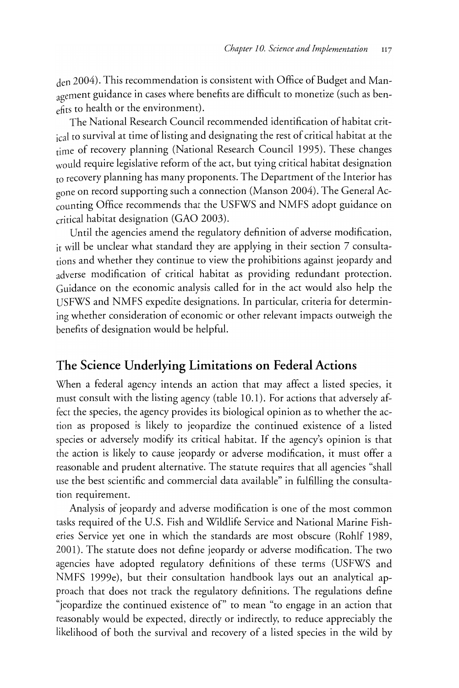den 2004). This recommendation is consistent with Office of Budget and Management guidance in cases where benefits are difficult to monetize (such as benefits to health or the environment).

The National Research Council recommended identification of habitat critical to survival at time of listing and designating the rest of critical habitat at the time of recovery planning (National Research Council 1995). These changes would require legislative reform of the act, but tying critical habitat designation to recovery planning has many proponents. The Department of the Interior has gone on record supporting such a connection (Manson 2004). The General Accounting Office recommends that the USFWS and NMFS adopt guidance on critical habitat designation (GAO 2003).

Until the agencies amend the regulatory definition of adverse modification, it will be unclear what standard they are applying in their section 7 consultations and whether they continue to view the prohibitions against jeopardy and adverse modification of critical habitat as providing redundant protection. Guidance on the economic analysis called for in the act would also help the USFWS and NMFS expedite designations. **In** particular, criteria for determining whether consideration of economic or other relevant impacts outweigh the benefits of designation would be helpful.

## **The Science Underlying Limitations on Federal Actions**

When a federal agency intends an action that may affect a listed species, it must consult with the listing agency (table 10.1). For actions that adversely affect the species, the agency provides its biological opinion as to whether the action as proposed is likely to jeopardize the continued existence of a listed species or adversely modify its critical habitat. If the agency's opinion is that the action is likely to cause jeopardy or adverse modification, it must offer a reasonable and prudent alternative. The statute requires that all agencies "shall use the best scientific and commercial data available" in fulfilling the consultation requirement.

Analysis of jeopardy and adverse modification is one of the most common tasks required of the U.S. Fish and Wildlife Service and National Marine Fisheries Service yet one in which the standards are most obscure (Rohlf 1989, 2001). The statute does not define jeopardy or adverse modification. The two agencies have adopted regulatory definitions of these terms (USFWS and NMFS 1999e), but their consultation handbook lays out an analytical approach that does not track the regulatory definitions. The regulations define "jeopardize the continued existence of" to mean "to engage in an action that reasonably would be expected, directly or indirectly, to reduce appreciably the likelihood of both the survival and recovery of a listed species in the wild by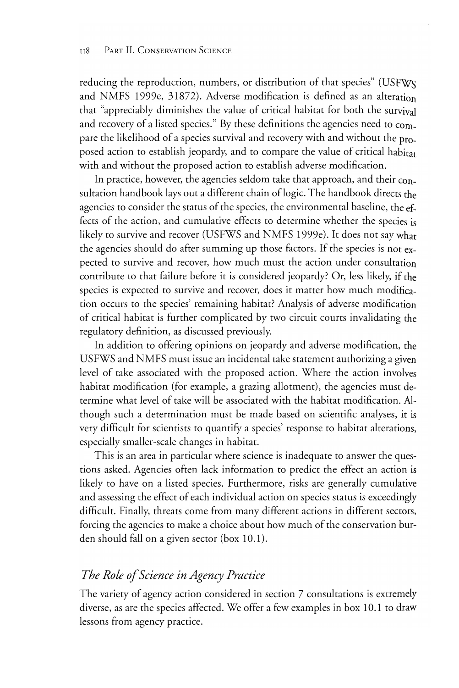reducing the reproduction, numbers, or distribution of that species" (USFWS and NMFS 1999e, 31872). Adverse modification is defined as an alteration that "appreciably diminishes the value of critical habitat for both the survival and recovery of a listed species." By these definitions the agencies need to compare the likelihood of a species survival and recovery with and without the proposed action to establish jeopardy, and to compare the value of critical habitat with and without the proposed action to establish adverse modification.

In practice, however, the agencies seldom take that approach, and their consultation handbook lays out a different chain of logic. The handbook directs the agencies to consider the status of the species, the environmental baseline, the effects of the action, and cumulative effects to determine whether the species is likely to survive and recover (USFWS and NMFS 1999e). It does not say what the agencies should do after summing up those factors. If the species is not expected to survive and recover, how much must the action under consultation contribute to that failure before it is considered jeopardy? Or, less likely, if the species is expected to survive and recover, does it matter how much modification occurs to the species' remaining habitat? Analysis of adverse modification of critical habitat is further complicated by two circuit courts invalidating the regulatory definition, as discussed previously.

In addition to offering opinions on jeopardy and adverse modification, the USFWS and NMFS must issue an incidental take statement authorizing a given level of take associated with the proposed action. Where the action involves habitat modification (for example, a grazing allotment), the agencies must determine what level of take will be associated with the habitat modification. Although such a determination must be made based on scientific analyses, it is very difficult for scientists to quantify a species' response to habitat alterations, especially smaller-scale changes in habitat.

This is an area in particular where science is inadequate to answer the questions asked. Agencies often lack information to predict the effect an action is likely to have on a listed species. Furthermore, risks are generally cumulative and assessing the effect of each individual action on species status is exceedingly difficult. Finally, threats come from many different actions in different sectors, forcing the agencies to make a choice about how much of the conservation burden should fall on a given sector (box 10.1).

#### *The Role of Science in Agency Practice*

The variety of agency action considered in section 7 consultations is extremely diverse, as are the species affected. We offer a few examples in box 10.1 to draw lessons from agency practice.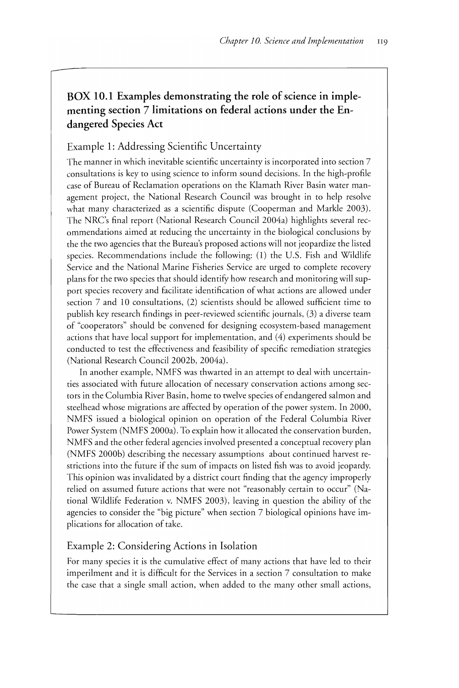#### **BOX 10.1 Exampies demonstrating the role of science in impIementing section 7 Iimitations on federal actions under the Endangered Species Act**

#### Example 1: Addressing Scientific Uncertainty

The manner in which inevitable scientific uncertainty is incorporated into section 7 consultations is key to using seience to inform sound decisions. In the high-profile case of Bureau of Reclamation operations on the Klamath River Basin water management project, the National Research Council was brought in to help resolve what many characterized as a scientific dispute (Cooperman and Markle 2003). The NRC's final report (National Research Council 2004a) highlights several recommendations aimed at reducing the uncertainty in the biological conclusions by the the two agencies that the Bureau's proposed actions will not jeopardize the listed species. Recommendations include the following: (1) the V.S. Fish and Wildlife Service and the National Marine Fisheries Service are urged to complete recovery plans for the two species that should identify how research and monitoring will support species recovery and facilitate identification of what actions are allowed under section 7 and 10 consultations, (2) scientists should be allowed sufficient time to publish key research findings in peer-reviewed scientific journals, (3) a diverse team of "cooperators" should be convened for designing ecosystem-based management actions that have local support for implementation, and (4) experiments should be conducted to test the effectiveness and feasibility of speeific remediation strategies (National Research Council2002b, 2004a).

In another example, NMFS was thwarted in an attempt to deal with uncertainties associated with future allocation of necessary conservation actions among sectors in the Columbia River Basin, home to twelve species of endangered salmon and steelhead whose migrations are affected by operation of the power system. In 2000, NMFS issued a biological opinion on operation of the Federal Columbia River Power System (NMFS 2000a). To explain how it allocated the conservation burden, NMFS and the other federal agencies involved presented a conceptual recovery plan (NMFS 2000b) describing the necessary assumptions about continued harvest restrictions into the future if the sum of impacts on listed fish was to avoid jeopardy. This opinion was invalidated by a district court finding that the agency improperly relied on assumed future actions that were not "reasonably certain to occur" (National Wildlife Federation v. NMFS 2003), leaving in question the ability of the agencies to consider the "big picture" when section 7 biological opinions have implications for allocation of take.

#### Example 2: Considering Actions in Isolation

For many species it is the cumulative effect of many actions that have led to their imperilment and it is difficult for the Services in a section 7 consultation to make the case that a single small action, when added to the many other small actions,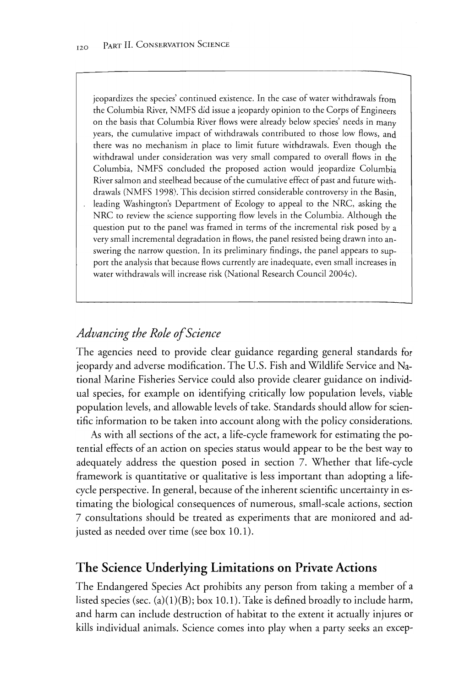jeopardizes the species' continued existence. In the case of water withdrawals from the Columbia River, NMFS did issue a jeopardy opinion to the Corps of Engineers on the basis that Columbia River flows were already below species' needs in many years, the cumulative impact of withdrawals contributed to those low flows, and there was no mechanism in place to limit future withdrawals. Even though the withdrawal under consideration was very small compared to overall flows in the Columbia, NMFS concluded the proposed action would jeopardize Columbia River salmon and steelhead because of the cumulative effect of past and future withdrawals (NMFS 1998). This decision stirred considerable controversy in the Basin, leading Washington's Department of Ecology to appeal to the NRC, asking the NRC to review the science supporting flow levels in the Columbia. Although the question put to the panel was framed in terms of the incremental risk posed by a very small incremental degradation in flows, the panel resisted being drawn into answering the narrow question. In its preliminary findings, the panel appears to support the analysis that because flows currently are inadequate, even small increases in water withdrawals will increase risk (National Research Council2004c).

## *Advancing the Rote ofScience*

The agencies need to provide dear guidance regarding general standards for jeopardy and adverse modification. The U.S. Fish and Wildlife Service and National Marine Fisheries Service could also provide dearer guidance on individual species, for example on identifying critically low population levels, viable population levels, and allowable levels of take. Standards should allow for scientific information to be taken into account along with the policy considerations.

As with all sections of the act, a life-cycle framework for estimating the potential effects of an action on species status would appear to be the best way to adequately address the question posed in seetion 7. Whether that life-cyde framework is quantitative or qualitative is less important than adopting a lifecyde perspective. In general, because of the inherent scientific uncertainty in estimating the biological consequences of numerous, small-scale actions, section 7 consultations should be treated as experiments that are monitored and adjusted as needed over time (see box 10.1).

### **The Science Underlying Limitations on Private Actions**

The Endangered Species Act prohibits any person from taking a member of a listed species (sec. (a)(1)(B); box 10.1). Take is defined broadly to include harm, and harm can indude destruction of habitat to the extent it actually injures or kills individual animals. Science comes into play when a party seeks an excep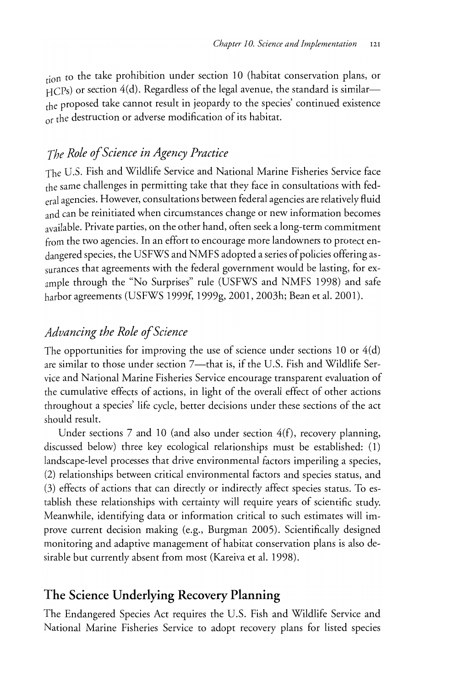rion ro the take prohibition under section 10 (habitat conservation plans, or  $HCPs$ ) or section 4(d). Regardless of the legal avenue, the standard is similarthe proposed take cannot result in jeopardy to the species' continued existence or the destruction or adverse modification of its habitat.

## *The Role o/Science in Agency Practice*

The U.S. Fish and Wildlife Service and National Marine Fisheries Service face the same challenges in permitting take that they face in consultations with federal agencies. However, consultations between federal agencies are relatively fluid and can be reinitiated when circumstances change or new information becomes available. Private parties, on the other hand, often seek a long-term commitment from the two agencies. **In** an effort to encourage more landowners to protect endangered species, the USFWS and NMFS adopted a series of policies offering assurances that agreements with the federal government would be lasting, for example through the "No Surprises" rule (USFWS and NMFS 1998) and safe harbor agreements (USFWS 1999f, 1999g, 2001, 2003h; Bean et al. 2001).

#### *Advancing the Role o/Science*

The opportunities for improving the use of science under sections 10 or  $4(d)$ are similar to those under section 7—that is, if the U.S. Fish and Wildlife Service and National Marine Fisheries Service encourage transparent evaluation of the cumulative effects of actions, in light of the overall effect of other actions throughout a species' life cycle, better decisions under these sections of the act should result.

Under sections 7 and 10 (and also under section  $4(f)$ , recovery planning, discussed below) three key ecological relationships must be established: (1) landscape-level processes that drive environmental factors imperiling a species, (2) relationships between critical environmental factors and species status, and (3) effects of actions that can directly or indirectly affect species status. To establish these relationships with certainty will require years of scientific study. Meanwhile, identifying data or information critical to such estimates will improve current decision making (e.g., Burgman 2005). Scientifically designed monitoring and adaptive management of habitat conservation plans is also desirable but currently absent from most (Kareiva et a1. 1998).

### **The Science Underlying Recovery Planning**

The Endangered Species Act requires the U.S. Fish and Wildlife Service and National Marine Fisheries Service to adopt recovery plans for listed species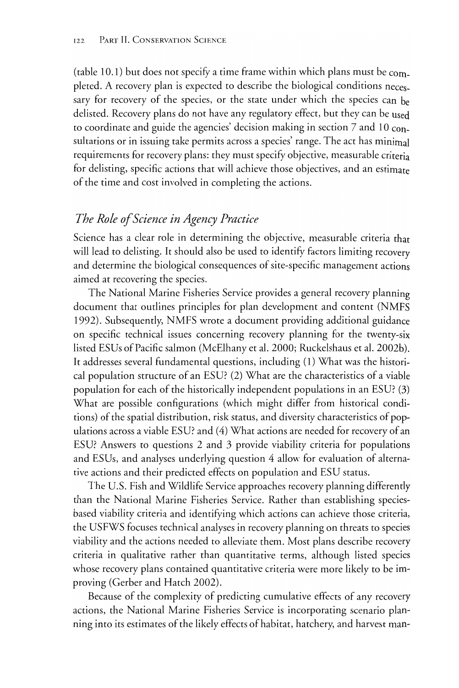(table 10.1) but does not specify a time frame within which plans must be  $\epsilon_{\text{om}}$ . pleted. A recovery plan is expected to describe the biological conditions necessary for recovery of the species, or the state under which the species can be delisted. Recovery plans do not have any regulatory effect, but they can be used to coordinate and guide the agencies' decision making in section 7 and 10 consultations or in issuing take permits across a species' range. The act has minimal requirements for recovery plans: they must specify objective, measurable criteria for delisting, specific actions that will achieve those objectives, and an estimate of the time and cost involved in completing the actions.

## *The Role o/Science in Agency Practice*

Science has a clear role in determining the objective, measurable criteria that will lead to delisting. It should also be used to identify factors limiting recovery and determine the biological consequences of site-specific management actions aimed at recovering the species.

The National Marine Fisheries Service provides a general recovery planning document that outlines principles for plan development and content (NMFS 1992). Subsequently, NMFS wrote a document providing additional guidance on specific technical issues concerning recovery planning for the rwenty-six listed ESUs of Pacific salmon (McElhany et al. 2000; Ruckelshaus et al. 2002b). **It** addresses several fundamental questions, including (1) What was the historical population structure of an ESU? (2) What are the characteristics of a viable population for each of the historically independent populations in an ESU? (3) What are possible configurations (which might differ from historical conditions) of the spatial distribution, risk status, and diversity characteristics of populations across a viable ESU? and (4) What actions are needed for recovery of an ESU? Answers to questions 2 and 3 provide viability criteria for populations and ESUs, and analyses underlying question 4 allow for evaluation of alternative actions and their predicted effects on population and ESU status.

The U.S. Fish and Wildlife Service approaches recovery planning differently than the National Marine Fisheries Service. Rather than establishing speciesbased viability criteria and identifying which actions can achieve those criteria, the USFWS focuses technical analyses in recovery planning on threats to species viability and the actions needed to alleviate them. Most plans describe recovery criteria in qualitative rather than quantitative terms, although listed species whose recovery plans contained quantitative criteria were more likely to be improving (Gerber and Hatch 2002).

Because of the complexity of predicting cumulative effects of any recovery actions, the National Marine Fisheries Service is incorporating scenario planning into its estimates of the likely effects of habitat, hatchery, and harvest man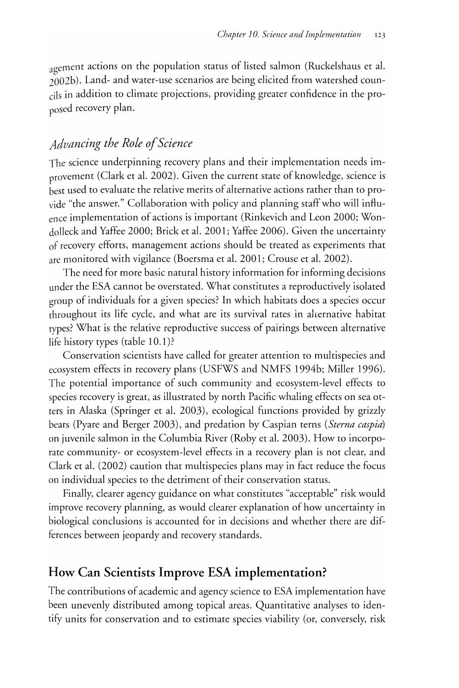agement actions on the population status of listed salmon (Ruckelshaus et al.  $2002$ b). Land- and water-use scenarios are being elicited from watershed coun- $\epsilon$ ils in addition to climate projections, providing greater confidence in the proposed recovery plan.

## *Advancing the Role of Science*

The science underpinning recovery plans and their implementation needs improvement (Clark et al. 2002). Given the current state of knowledge, science is best used to evaluate the relative merits of alternative actions rather than to provide "the answer." Collaboration with policy and planning staff who will influence implementation of actions is important (Rinkevich and Leon 2000; Wondolleck and Yaffee 2000; Brick et al. 2001; Yaffee 2006). Given the uncertainty of recovery efforts, management actions should be treated as experiments that are monitored with vigilance (Boersma et al. 2001; Crouse et al. 2002).

The need for more basic natural history information for informing decisions under the ESA cannot be overstated. What constitutes a reproductively isolated group of individuals for a given species? In which habitats does a species occur throughout its life cycle, and what are its survival rates in alternative habitat types? What is the relative reproductive success of pairings between alternative life history types (table 10.I)?

Conservation scientists have called for greater attention to multispecies and ecosystem effects in recovery plans (USFWS and NMFS 1994b; Miller 1996). The potential importance of such community and ecosystem-level effects to species recovery is great, as illustrated by north Pacific whaling effects on sea otters in Alaska (Springer et al. 2003), ecological functions provided by grizzly bears (Pyare and Berger 2003), and predation by Caspian terns *(Sterna caspia)*  on juvenile salmon in the Columbia River (Roby et al. 2003). How to incorporate community- or ecosystem-level effects in a recovery plan is not clear, and Clark et al. (2002) caution that multispecies plans may in fact reduce the focus on individual species to the detriment of their conservation status.

Finally, clearer agency guidance on what constitutes "acceptable" risk would improve recovery planning, as would clearer explanation of how uncertainty in biological conclusions is accounted for in decisions and whether there are differences between jeopardy and recovery standards.

## **How Can Scientists Improve ESA implementation?**

The contributions of academic and agency science to ESA implementation have been unevenly distributed among topical areas. Quantitative analyses to identify units for conservation and to estimate species viability (or, conversely, risk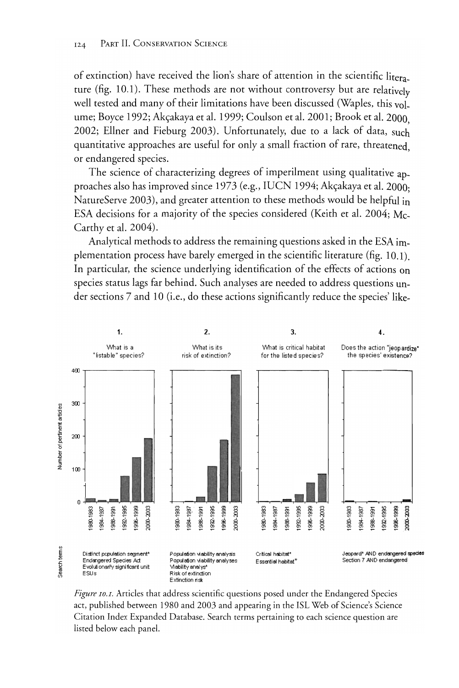of extinction) have received the lion's share of attention in the scientific litera\_ ture (fig. 10.1). These methods are not without controversy but are relatively well tested and many of their limitations have been discussed (Waples, this volume; Boyce 1992; Akçakaya et al. 1999; Coulson et al. 2001; Brook et al. 2000 2002; Ellner and Fieburg 2003). Unfortunately, due to a lack of data, such quantitative approaches are useful for only a small fraction of rare, threatened or endangered species.

The science of characterizing degrees of imperilment using qualitative approaches also has improved since 1973 (e.g., IUCN 1994; Akçakaya et al. 2000. NatureServe 2003), and greater attention to these methods would be helpful in ESA decisions for a majority of the species considered (Keith et al. 2004; Mc-Carthy er al. 2004).

Analytical methods to address the remaining questions asked in the ESA implementation process have barely emerged in the scientific literature (fig. 10.1). In particular, the science underlying identification of the effects of actions on species status lags far behind. Such analyses are needed to address questions under sections 7 and 10 (i.e., do these actions significantly reduce the species' like-



*Figure IO.I.* Articles that address scientific questions posed under the Endangered Species act, published between 1980 and 2003 and appearing in the ISL Web of Science's Science Citation Index Expanded Database. Search terms pertaining to each science question are listed below each panel.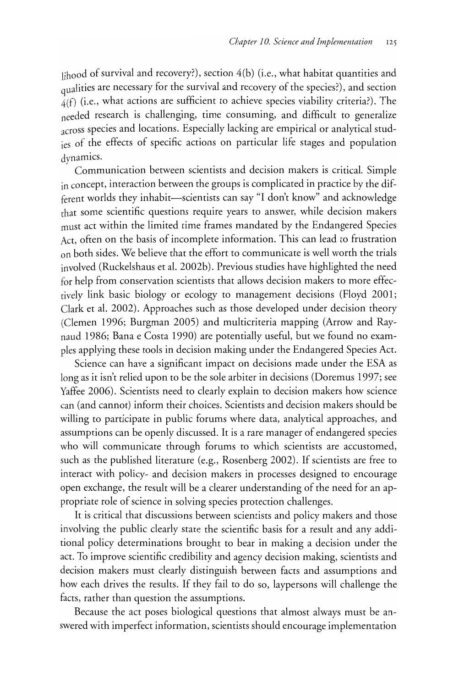lihood of survival and recovery?), section 4(b) (i.e., what habitat quantities and qualities are necessary for the survival and recovery of the species?), and section  $4(f)$  (i.e., what actions are sufficient to achieve species viability criteria?). The needed research is challenging, time consuming, and difficult to generalize across species and locations. Especially lacking are empirical or analytical studies of the effects of specific actions on particular life stages and population dynamics.

Communication between scientists and decision makers is critical. Simple in concept, interaction between the groups is complicated in practice by the different worlds they inhabit-scientists can say "I don't know" and acknowledge that some scientific questions require years to answer, while decision makers must act within the limited time frames mandated by the Endangered Species Act, often on the basis of incomplete information. This can lead to frustration on both sides. We believe that the effort to communicate is well worth the trials involved (Ruckelshaus et al. 2002b). Previous studies have highlighted the need for help from conservation scientists that allows decision makers to more effectively link basic biology or ecology to management decisions (Floyd 2001; Clark et al. 2002). Approaches such as those developed under decision theory (Clemen 1996; Burgman 2005) and multicriteria mapping (Arrow and Raynaud 1986; Bana e Costa 1990) are potentially useful, but we found no examples applying these tools in decision making under the Endangered Species Act.

Science can have a significant impact on decisions made under the ESA as long as it isn't relied upon to be the sole arbiter in decisions (Doremus 1997; see Yaffee 2006). Scientists need to clearly explain to decision makers how science can (and cannot) inform their choices. Scientists and decision makers should be willing to participate in public forums where data, analytical approaches, and assumptions can be openly discussed. It is a rare manager of endangered species who will communicate through forums to which scientists are accustomed, such as the published literature (e.g., Rosenberg 2002). If scientists are free to interact with policy- and decision makers in processes designed to encourage open exchange, the result will be a clearer understanding of the need for an appropriate role of science in solving species protection challenges.

It is critical that discussions between scientists and policy makers and those involving the public clearly state the scientific basis for a result and any additional policy determinations brought to bear in making a decision under the act. To improve scientific credibility and agency decision making, scientists and decision makers must clearly distinguish between facts and assumptions and how each drives the results. If they fail to do so, laypersons will challenge the facts, rather than question the assumptions.

Because the act poses biological questions that almost always must be answered with imperfect information, scientists should encourage implementation